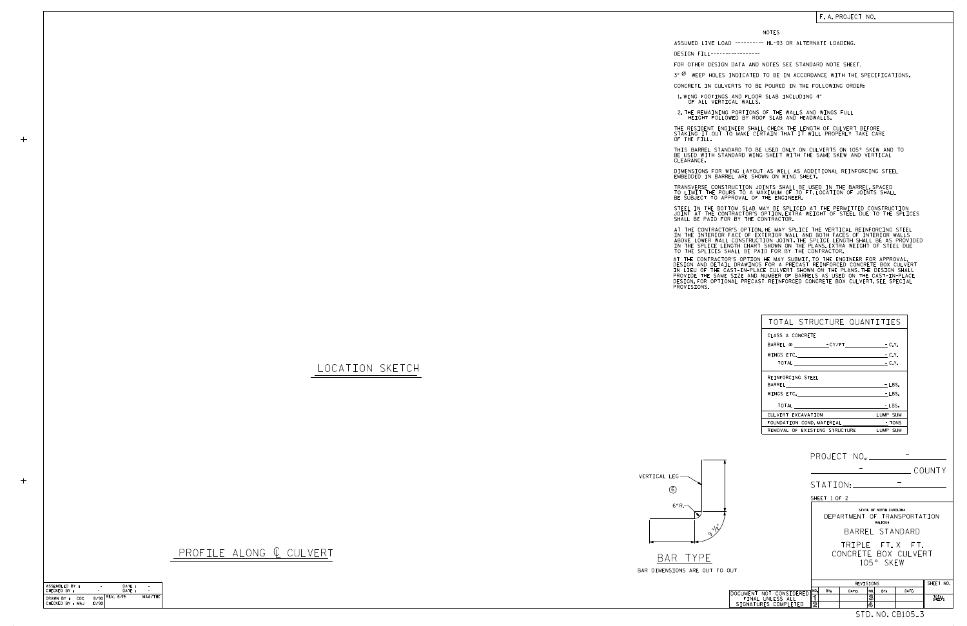LOCATION SKETCH

VERTICAL LEG

## PROFILE ALONG  $Q$  CULVERT

6" R.

6



| TOTAL STRUCTURE QUANTITIES     |          |
|--------------------------------|----------|
| CLASS A CONCRETE               |          |
| BARREL @ - CY/FT - C.Y.        |          |
| $WINGS$ etc. $-C.Y.$           |          |
| TOTAL $\qquad \qquad -C.Y.$    |          |
| REINFORCING STEEL              |          |
|                                | $-LBS.$  |
|                                | $-LBS$   |
| <b>TOTAL</b>                   | - LBS.   |
| CULVERT EXCAVATION             | LUMP SUM |
| FOUNDATION COND. MATERIAL TONS |          |
| REMOVAL OF EXISTING STRUCTURE  | LUMP SUM |

NOTES

DESIGN FILL-----------------

FOR OTHER DESIGN DATA AND NOTES SEE STANDARD NOTE SHEET.

3" Ø WEEP HOLES INDICATED TO BE IN ACCORDANCE WITH THE SPECIFICATIONS.

STEEL IN THE BOTTOM SLAB MAY BE SPLICED AT THE PERMITTED CONSTRUCTION JOINT AT THE CONTRACTOR'S OPTION.EXTRA WEIGHT OF STEEL DUE TO THE SPLICES<br>SHALL BE PAID FOR BY THE CONTRACTOR.

CONCRETE IN CULVERTS TO BE POURED IN THE FOLLOWING ORDER:

1.WING FOOTINGS AND FLOOR SLAB INCLUDING 4"<br>OF ALL VERTICAL WALLS.

2.THE REMAINING PORTIONS OF THE WALLS AND WINGS FULL<br>HEIGHT FOLLOWED BY ROOF SLAB AND HEADWALLS.

THE RESIDENT ENGINEER SHALL CHECK THE LENGTH OF CULVERT BEFORE<br>STAKING IT OUT TO MAKE CERTAIN THAT IT WILL PROPERLY TAKE CARE<br>OF THE FILL.

IN THE INTERIOR FACE OF EXTERIOR WALL AND BOTH FACES OF INTERIOR WALLS<br>ABOVE LOWER WALL CONSTRUCTION JOINT THE SPLICE LENGTH SHALL BE AS PROVIDED<br>IN THE SPLICE LENGTH CHART SHOWN ON THE PLANS EXTRA WEIGHT OF STEEL DUE<br>TO T AT THE CONTRACTOR'S OPTION, HE MAY SPLICE THE VERTICAL REINFORCING STEEL

AT THE CONTRACTOR'S OPTION HE MAY SUBMIT,TO THE ENGINEER FOR APPROVAL,<br>DESIGN AND DETAIL DRAWINGS FOR A PRECAST REINFORCED CONCRETE BOX CULVERT<br>IN LIEU OF THE CAST-IN-PLACE CULVERT SHOWN ON THE PLANS.THE DESIGN SHALL<br>PROVI

BE USED WITH STANDARD WING SHEET WITH THE SAME SKEW AND VERTICAL CLEARANCE. THIS BARREL STANDARD TO BE USED ONLY ON CULVERTS ON 105° SKEW AND TO

DIMENSIONS FOR WING LAYOUT AS WELL AS ADDITIONAL REINFORCING STEEL<br>EMBEDDED IN BARREL ARE SHOWN ON WING SHEET.

TRANSVERSE CONSTRUCTION JOINTS SHALL BE USED IN THE BARREL,SPACED<br>TO LIMIT THE POURS TO A MAXIMUM OF 70 FT.LOCATION OF JOINTS SHALL<br>BE SUBJECT TO APPROVAL OF THE ENGINEER.

|                                                                     | PROJECT NO. _____________                                                                                             |  |  |  |  |  |
|---------------------------------------------------------------------|-----------------------------------------------------------------------------------------------------------------------|--|--|--|--|--|
|                                                                     | COUNTY                                                                                                                |  |  |  |  |  |
|                                                                     | STATION:                                                                                                              |  |  |  |  |  |
| SHEET 1 OF 2                                                        |                                                                                                                       |  |  |  |  |  |
| STATE OF NORTH CAROLINA<br>DEPARTMENT OF TRANSPORTATION<br>RALEIGH  |                                                                                                                       |  |  |  |  |  |
|                                                                     | BARREL STANDARD                                                                                                       |  |  |  |  |  |
|                                                                     | TRIPLE FT.X FT.<br>CONCRETE BOX CULVERT<br>105° SKEW                                                                  |  |  |  |  |  |
| T TO OUT                                                            |                                                                                                                       |  |  |  |  |  |
|                                                                     | SHEET NO.<br>REVISIONS                                                                                                |  |  |  |  |  |
| DOCUMENT NOT CONSIDERED<br>FINAL UNLESS ALL<br>SIGNATURES COMPLETED | NO.<br>BY:<br>DATE:<br>DATE:<br>NO.<br>BY:<br>ิจ<br>$\overline{\mathbf{3}}$<br>TOTAL<br>SHEETS<br>$\overline{2}$<br>4 |  |  |  |  |  |
| STD. NO. CB105_3                                                    |                                                                                                                       |  |  |  |  |  |

| SHALL       |             | STEEL IN THE<br>JOINT AT THE<br>BE PAI                                             |
|-------------|-------------|------------------------------------------------------------------------------------|
| ABOVE LOWER |             | AT THE CONTF<br>IN THE INTER<br>IN THE SPLIC<br>TO THE SPLIC                       |
|             | PROVISIONS. | AT THE CONTR<br>DESIGN AND D<br><b>IN LIFU OF T</b><br>PROVIDE THE<br>DESIGN.FOR C |

ASSUMED LIVE LOAD ---------- HL-93 OR ALTERNATE LOADING.

| ASSEMBLED BY :                               |       | DATE:          |         |
|----------------------------------------------|-------|----------------|---------|
| CHECKED BY :                                 |       | DATE:          |         |
| DRAWN BY :<br><b>COC</b><br>CHECKED BY : MAJ | 10/90 | 8/90 REV. 6/19 | MAA/THC |

 $+$